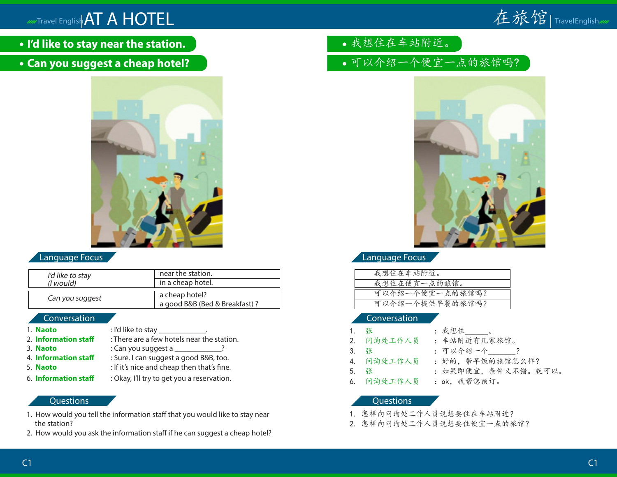

- **I'd like to stay near the station.**
- **Can you suggest a cheap hotel?**



# Language Focus

| I'd like to stay  | near the station.                               |
|-------------------|-------------------------------------------------|
| ( <i>l</i> would) | in a cheap hotel.                               |
| Can you suggest   | a cheap hotel?<br>a good B&B (Bed & Breakfast)? |

### Conversation

| 1. Naoto             | : I'd like to stay $\frac{1}{2}$ .         |
|----------------------|--------------------------------------------|
| 2. Information staff | : There are a few hotels near the station. |
| 3. Naoto             | : Can you suggest a _____________?         |
| 4. Information staff | : Sure. I can suggest a good B&B, too.     |
| 5. Naoto             | : If it's nice and cheap then that's fine. |
| 6. Information staff | : Okay, I'll try to get you a reservation. |

### **Questions**

- 1. How would you tell the information staff that you would like to stay near the station?
- 2. How would you ask the information staff if he can suggest a cheap hotel?
- 我想住在车站附近。
- 可以介绍一个便宜一点的旅馆吗?



# Language Focus

| 我想住在车站附近。       |  |
|-----------------|--|
| 我想住在便宜一点的旅馆。    |  |
|                 |  |
| 可以介绍一个便宜一点的旅馆吗? |  |
| 可以介绍一个提供早餐的旅馆吗? |  |

## Conversation

- 1. 张 。 2. 问询处工作人员 :车站附近有几家旅馆。
- 3. 张 :可以介绍一个\_\_\_\_\_\_?
- 
- 4. 问询处工作人员 :好的,带早饭的旅馆怎么样?
- 5. 张 :如果即便宜,条件又不错。就可以。
- 
- 
- 6. 问询处工作人员 :ok,我帮您预订。

- 1. 怎样向问询处工作人员说想要住在车站附近?
- 2. 怎样向问询处工作人员说想要住便宜一点的旅馆?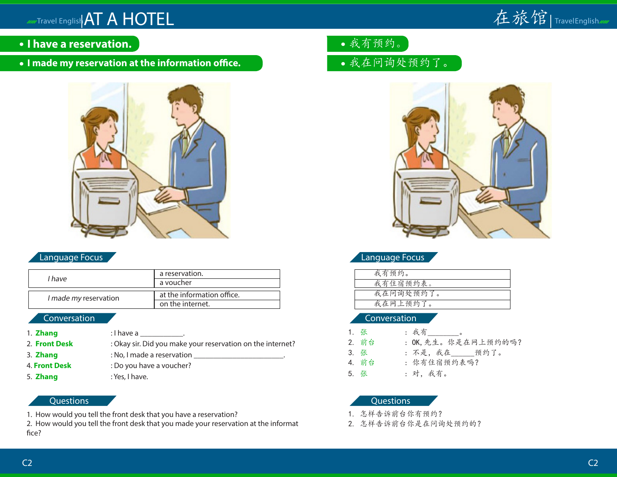

- **I have a reservation.**
- **I made my reservation at the information office.**



# Language Focus

| l have                | a reservation.             |  |
|-----------------------|----------------------------|--|
|                       | a voucher                  |  |
|                       |                            |  |
| I made my reservation | at the information office. |  |
|                       | on the internet.           |  |

## Conversation

- 1. **Zhang** : I have a \_\_\_\_\_\_\_\_\_\_\_\_. 2. **Front Desk** : Okay sir. Did you make your reservation on the internet? 3. **Zhang** : No, I made a reservation \_\_\_\_\_\_\_\_\_\_\_\_\_\_\_\_\_\_\_\_\_\_\_.
- 
- 

# 4. **Front Desk** : Do you have a voucher? 5. **Zhang** : Yes, I have.

## **Questions**

1. How would you tell the front desk that you have a reservation?

2. How would you tell the front desk that you made your reservation at the informat fice?

- 我有预约。
- 我在问询处预约了。



# Language Focus

| 我有预约。     |
|-----------|
| 我有住宿预约表。  |
|           |
| 我在问询处预约了。 |
| 我在网上预约了。  |
|           |

#### Conversation

1. 张 : 我有\_\_\_\_\_\_\_\_\_。 2. 前台 : OK, 先生。你是在网上预约的吗? 3. 张 : 不是,我在\_\_\_\_\_\_预约了。 4. 前台 : 你有住宿预约表吗? 5. 张 : 对,我有。

- 1. 怎样告诉前台你有预约?
- 2. 怎样告诉前台你是在问询处预约的?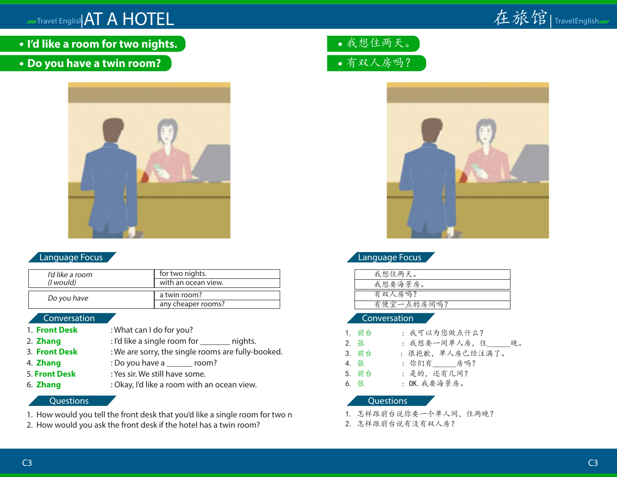

**I'd like a room for two nights.**

# **Do you have a twin room?**



### Language Focus

| I'd like a room   | for two nights.                    |
|-------------------|------------------------------------|
| ( <i>l</i> would) | with an ocean view.                |
| Do you have       | a twin room?<br>any cheaper rooms? |

## Conversation

- 1. **Front Desk** : What can I do for you?
- 2. **Zhang** : I'd like a single room for hights.
- 3. **Front Desk** : We are sorry, the single rooms are fully-booked.
- 4. **Zhang** : Do you have a zoom?
- 5. **Front Desk** : Yes sir. We still have some.
- 6. **Zhang** : Okay, I'd like a room with an ocean view.

## **Questions**

- 1. How would you tell the front desk that you'd like a single room for two n
- 2. How would you ask the front desk if the hotel has a twin room?

我想住两天。 有双人房吗?



# Language Focus

| 我想住两天。     |  |
|------------|--|
| 我想要海景房。    |  |
| 有双人房吗?     |  |
| 有便宜一点的房间吗? |  |
|            |  |

#### Conversation

- 1. 前台 : 我可以为您做点什么?
- 2. 张 : 我想要一间单人房, 住 晚。
- 3. 前台 : 很抱歉,单人房已经注满了。
- 4. 张 : 你们有\_\_\_\_\_\_房吗?
- 5. 前台 : 是的,还有几间?
- 6. 张 : OK.我要海景房。

- 1. 怎样跟前台说你要一个单人间,住两晚?
- 2. 怎样跟前台说有没有双人房?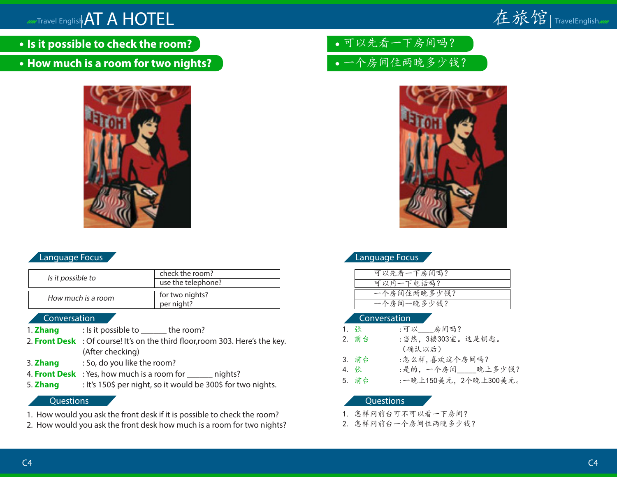# **All Travel English AT A HOTEL**



- **Is it possible to check the room?**
- **How much is a room for two nights?**



# Language Focus

| Is it possible to  | check the room?<br>use the telephone? |
|--------------------|---------------------------------------|
| How much is a room | for two nights?<br>per night?         |

### Conversation

- 1. **Zhang** : Is it possible to \_\_\_\_\_\_ the room?
- 2. **Front Desk** : Of course! It's on the third floor,room 303. Here's the key. (After checking)
- 3. **Zhang** : So, do you like the room?
- 4. **Front Desk** : Yes, how much is a room for \_\_\_\_\_\_ nights?
- 5. **Zhang** : It's 150\$ per night, so it would be 300\$ for two nights.

#### **Questions**

- 1. How would you ask the front desk if it is possible to check the room?
- 2. How would you ask the front desk how much is a room for two nights?

可以先看一下房间吗?

一个房间住两晚多少钱?



# Language Focus

| 可以先看一下房间吗?  |  |
|-------------|--|
| 可以用一下电话吗?   |  |
| 一个房间住两晚多少钱? |  |
| 一个房间一晚多少钱?  |  |

#### Conversation

1. 张 :可以 房间吗? 2. 前台 :当然,3楼303室。这是钥匙。 (确认以后) 3. 前台 :怎么样,喜欢这个房间吗? 4. 张 :是的,一个房间\_\_\_\_晚上多少钱? 5. 前台 :一晚上150美元,2个晚上300美元。

- 1. 怎样问前台可不可以看一下房间?
- 2. 怎样问前台一个房间住两晚多少钱?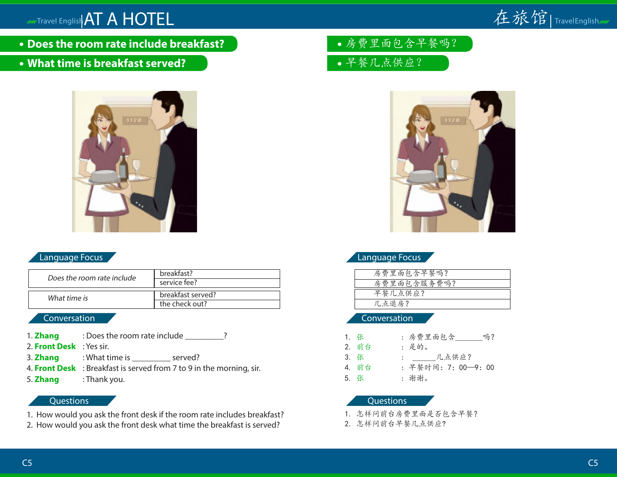

- **Does the room rate include breakfast?**
- **What time is breakfast served?**



# Language Focus

| Does the room rate include | breakfast?        |  |
|----------------------------|-------------------|--|
|                            | service fee?      |  |
|                            |                   |  |
| What time is               | breakfast served? |  |
|                            | the check out?    |  |

## Conversation

- 1. **Zhang** : Does the room rate include \_\_\_\_\_\_\_\_?
- 2. **Front Desk** : Yes sir.
- 3. **Zhang** : What time is \_\_\_\_\_\_\_\_\_\_\_ served?
- 4. **Front Desk** : Breakfast is served from 7 to 9 in the morning, sir.
- 5. **Zhang** : Thank you.

# Questions

- 1. How would you ask the front desk if the room rate includes breakfast?
- 2. How would you ask the front desk what time the breakfast is served?
- 房费里面包含早餐吗?
- 早餐几点供应?



# Language Focus

| 房费里面包含早餐吗?  |  |
|-------------|--|
| 房费里面包含服务费吗? |  |
|             |  |
| 早餐几点供应?     |  |
| 几点退房?       |  |
|             |  |

#### Conversation

| 1. 张  | : 房费里面包含<br>吗?      |
|-------|---------------------|
| 2. 前台 | :是的。                |
| 3. 张  | : 几点供应?             |
| 4. 前台 | : 早餐时间: 7: 00-9: 00 |
| 5. 张  | : 谢谢。               |

- 1. 怎样问前台房费里面是否包含早餐?
- 2. 怎样问前台早餐几点供应?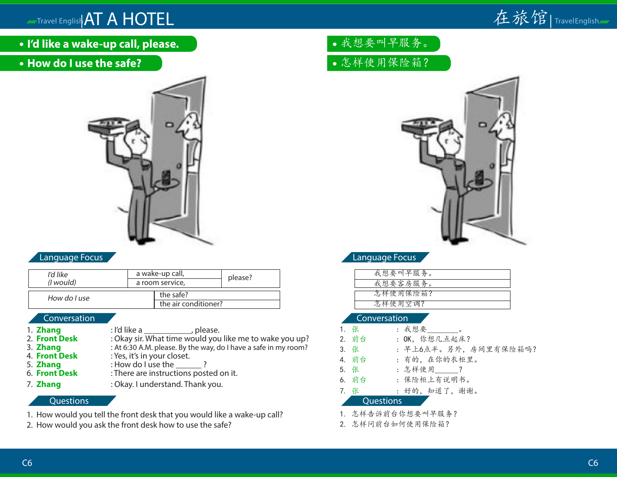

**I'd like a wake-up call, please.**

# **How do I use the safe?**



# Language Focus

| I'd like          | a wake-up call, |                      | please? |
|-------------------|-----------------|----------------------|---------|
| ( <i>l</i> would) | a room service, |                      |         |
| How do I use      |                 | the safe?            |         |
|                   |                 | the air conditioner? |         |

### Conversation

1. **Zhang** : I'd like a \_\_\_\_\_\_\_\_\_\_, please.<br>2. **Front Desk** : Okay sir. What time would you 2. **Front Desk** : Okay sir. What time would you like me to wake you up?<br>
3. **Zhang** : At 6:30 A.M. please. By the way, do I have a safe in my room? 3. **Zhang** : At 6:30 A.M. please. By the way, do I have a safe in my room?<br>4. **Front Desk** : Yes. it's in your closet. 4. **Front Desk** : Yes, it's in your closet.<br>5. **Zhang** : How do I use the 5. **Zhang** : How do I use the 2.<br>6. **Front Desk** : There are instructions post 6. **Front Desk** : There are instructions posted on it. 7. **Zhang** : Okay. I understand. Thank you.

#### **Questions**

- 1. How would you tell the front desk that you would like a wake-up call?
- 2. How would you ask the front desk how to use the safe?

# 我想要叫早服务。 怎样使用保险箱?

![](_page_5_Picture_13.jpeg)

# Language Focus

| 我想要叫早服务。 |  |
|----------|--|
| 我想要客房服务。 |  |
| 怎样使用保险箱? |  |
|          |  |
| 怎样使用空调?  |  |

### Conversation

| 1. 张             | : 我想要 ________。       |  |
|------------------|-----------------------|--|
| 2. 前台            | : OK. 你想几点起床?         |  |
| 3. 张             | : 早上6点半。另外, 房间里有保险箱吗? |  |
| 4. 前台            | : 有的, 在你的衣柜里。         |  |
| 5. 张             | : 怎样使用 ?              |  |
| 6. 前台            | : 保险柜上有说明书。           |  |
| 7. 张             | : 好的, 知道了, 谢谢。        |  |
| <b>Cuestions</b> |                       |  |
|                  |                       |  |

1. 怎样告诉前台你想要叫早服务?

2. 怎样问前台如何使用保险箱?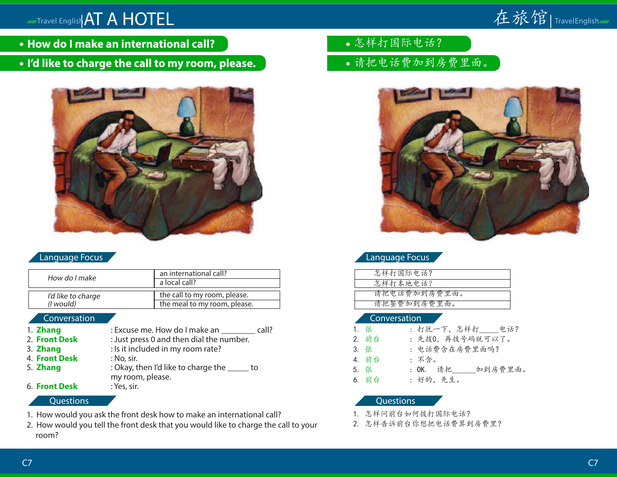![](_page_6_Picture_1.jpeg)

- **How do I make an international call?**
- **I'd like to charge the call to my room, please.**

![](_page_6_Picture_4.jpeg)

### Language Focus

| How do I make      | an international call?       |
|--------------------|------------------------------|
|                    | a local call?                |
|                    |                              |
| I'd like to charge | the call to my room, please. |
| ( <i>l</i> would)  | the meal to my room, please. |
|                    |                              |

#### Conversation

| 1. Zhang            | : Excuse me. How do I make an<br>call?     |
|---------------------|--------------------------------------------|
| 2. Front Desk       | : Just press 0 and then dial the number.   |
| 3. Zhang            | : Is it included in my room rate?          |
| 4. Front Desk       | : No, sir.                                 |
| 5. Zhang            | : Okay, then I'd like to charge the<br>to  |
| <b>6 Event Dock</b> | my room, please.<br>$V_{\alpha\alpha}$ cir |

6. **Front Desk** : Yes, sir.

#### Questions

- 1. How would you ask the front desk how to make an international call?
- 2. How would you tell the front desk that you would like to charge the call to your room?
- 怎样打国际电话?
- 请把电话费加到房费里面。

![](_page_6_Picture_15.jpeg)

## Language Focus

| 怎样打国际电话?     |
|--------------|
| 怎样打本地电话?     |
|              |
| 请把电话费加到房费里面。 |
| 请把餐费加到房费里面。  |
|              |

#### Conversation

| 1. 张  | : 打扰一下, 怎样打_____电话? |
|-------|---------------------|
| 2. 前台 | : 先拨0, 再拨号码就可以了。    |
| 3. 张  | : 电话费含在房费里面吗?       |
| 4. 前台 | :不含。                |
| 5. 张  | : OK. 请把 加到房费里面。    |
| 6. 前台 | : 好的, 先生。           |

- 1. 怎样问前台如何拨打国际电话?
- 2. 怎样告诉前台你想把电话费算到房费里?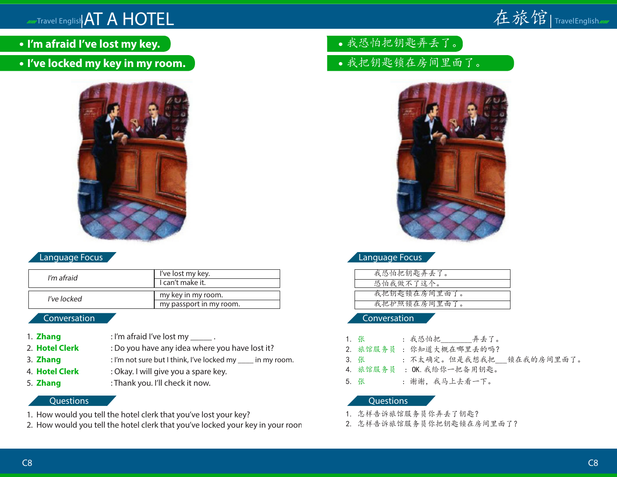# **MATTRAVEL English AT A HOTEL**

![](_page_7_Picture_1.jpeg)

- **I'm afraid I've lost my key.**
- **I've locked my key in my room.**

![](_page_7_Picture_4.jpeg)

# Language Focus

| I'm afraid  | I've lost my key.       |
|-------------|-------------------------|
|             | I can't make it.        |
|             |                         |
| I've locked | my key in my room.      |
|             | my passport in my room. |

### Conversation

- 1. **Zhang** : I'm afraid I've lost my \_\_\_\_\_\_.
- 2. **Hotel Clerk** : Do you have any idea where you have lost it?
- 3. **Zhang** : I'm not sure but I think, I've locked my \_\_\_\_ in my room.
- 4. **Hotel Clerk** : Okay. I will give you a spare key.
- 
- 5. **Zhang** : Thank you. I'll check it now.

## **Questions**

- 1. How would you tell the hotel clerk that you've lost your key?
- 2. How would you tell the hotel clerk that you've locked your key in your room?
- 我恐怕把钥匙弄丢了。
- 我把钥匙锁在房间里面了。

![](_page_7_Picture_19.jpeg)

# Language Focus

| 我恐怕把钥匙弄丢了。   |
|--------------|
| 恐怕我做不了这个。    |
|              |
| 我把钥匙锁在房间里面了。 |
| 我把护照锁在房间里面了。 |
|              |

Conversation

- 1. 张 : 我恐怕把 弄丢了。
- 2. 旅馆服务员 : 你知道大概在哪里丢的吗?
- 3. 张 : 不太确定。但是我想我把 锁在我的房间里面了。
- 4. 旅馆服务员 : OK.我给你一把备用钥匙。
- 5. 张 : 谢谢,我马上去看一下。

- 1. 怎样告诉旅馆服务员你弄丢了钥匙?
- 2. 怎样告诉旅馆服务员你把钥匙锁在房间里面了?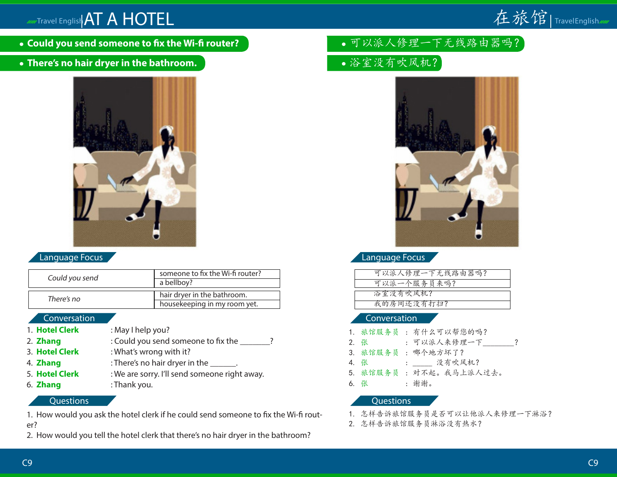# AND Travel English AT A HOTEL

![](_page_8_Picture_1.jpeg)

- **Could you send someone to fix the Wi-fi router?**
- **There's no hair dryer in the bathroom.**

![](_page_8_Picture_4.jpeg)

# Language Focus

| Could you send | someone to fix the Wi-fi router?<br>a bellboy?              |
|----------------|-------------------------------------------------------------|
| There's no     | hair dryer in the bathroom.<br>housekeeping in my room yet. |

### Conversation

- 1. **Hotel Clerk** : May I help you?
- 2. **Zhang** : Could you send someone to fix the  $\frac{1}{2}$ ?
- 3. **Hotel Clerk** : What's wrong with it?
- 4. **Zhang** : There's no hair dryer in the \_\_\_\_\_\_.
- 5. **Hotel Clerk** : We are sorry. I'll send someone right away.
- 
- 6. **Zhang** : Thank you.

# **Questions**

1. How would you ask the hotel clerk if he could send someone to fix the Wi-fi router?

2. How would you tell the hotel clerk that there's no hair dryer in the bathroom?

- •可以派人修理一下无线路由器吗?
- 浴室没有吹风机?

![](_page_8_Picture_20.jpeg)

# Language Focus

| 可以派人修理一下无线路由器吗? |  |
|-----------------|--|
| 可以派一个服务员来吗?     |  |
| 浴室没有吹风机?        |  |
| 我的房间还没有打扫?      |  |
|                 |  |

### Conversation

- 1. 旅馆服务员 : 有什么可以帮您的吗?
- 2. 张 : 可以派人来修理一下 ?
- 3. 旅馆服务员 : 哪个地方坏了?
- 4. 张 : \_\_\_\_ 没有吹风机?
- 5. 旅馆服务员 : 对不起。我马上派人过去。
- 6. 张 : 谢谢。

- 1. 怎样告诉旅馆服务员是否可以让他派人来修理一下淋浴?
- 2. 怎样告诉旅馆服务员淋浴没有热水?